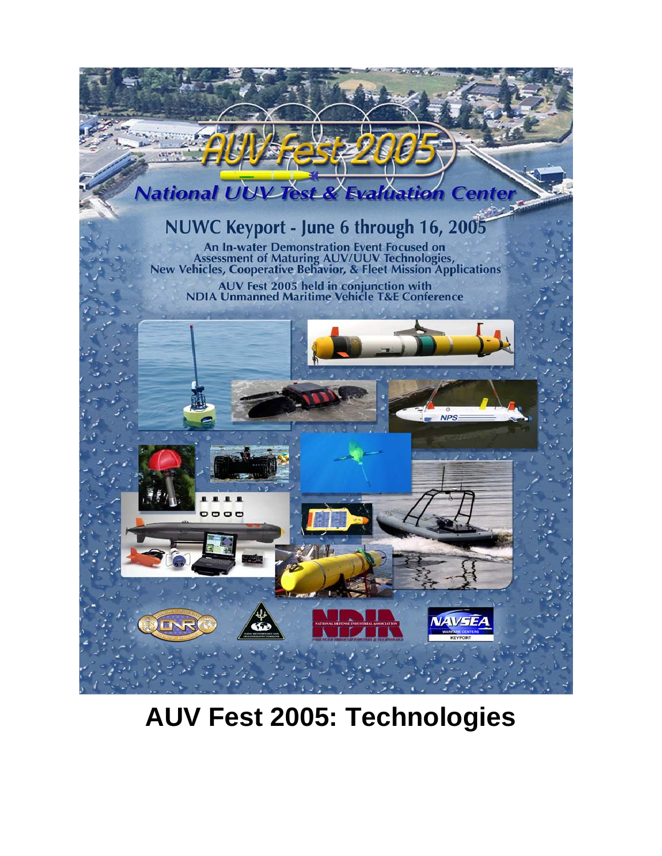

**AUV Fest 2005: Technologies**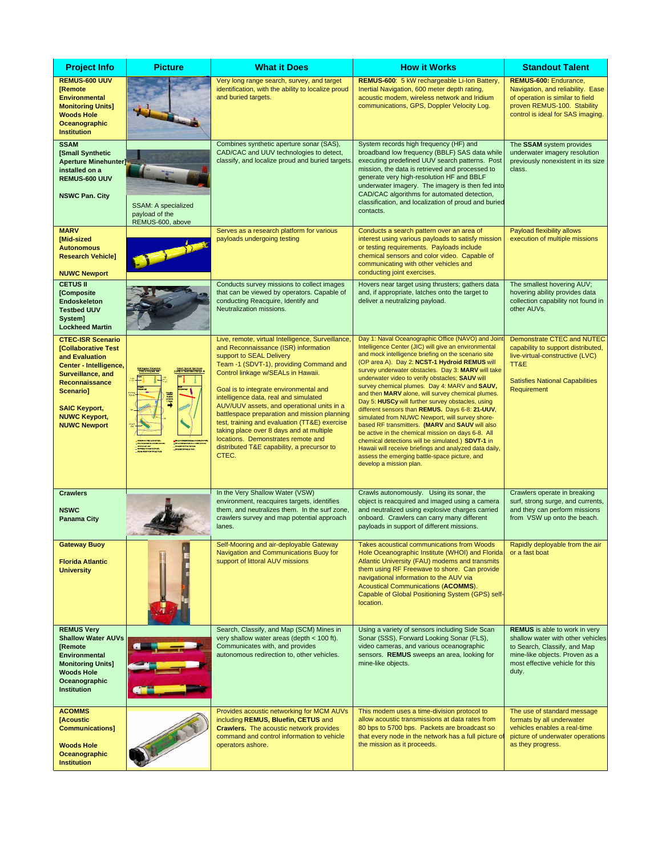| <b>Project Info</b>                                                                                                                                                                                                           | <b>Picture</b>                                            | <b>What it Does</b>                                                                                                                                                                                                                                                                                                                                                                                                                                                                                                                                                              | <b>How it Works</b>                                                                                                                                                                                                                                                                                                                                                                                                                                                                                                                                                                                                                                                                                                                                                                                                                                                                              | <b>Standout Talent</b>                                                                                                                                                                  |
|-------------------------------------------------------------------------------------------------------------------------------------------------------------------------------------------------------------------------------|-----------------------------------------------------------|----------------------------------------------------------------------------------------------------------------------------------------------------------------------------------------------------------------------------------------------------------------------------------------------------------------------------------------------------------------------------------------------------------------------------------------------------------------------------------------------------------------------------------------------------------------------------------|--------------------------------------------------------------------------------------------------------------------------------------------------------------------------------------------------------------------------------------------------------------------------------------------------------------------------------------------------------------------------------------------------------------------------------------------------------------------------------------------------------------------------------------------------------------------------------------------------------------------------------------------------------------------------------------------------------------------------------------------------------------------------------------------------------------------------------------------------------------------------------------------------|-----------------------------------------------------------------------------------------------------------------------------------------------------------------------------------------|
| REMUS-600 UUV<br><b>IRemote</b><br><b>Environmental</b><br><b>Monitoring Units]</b><br><b>Woods Hole</b><br>Oceanographic<br><b>Institution</b>                                                                               |                                                           | Very long range search, survey, and target<br>identification, with the ability to localize proud<br>and buried targets.                                                                                                                                                                                                                                                                                                                                                                                                                                                          | REMUS-600: 5 kW rechargeable Li-Ion Battery,<br>Inertial Navigation, 600 meter depth rating,<br>acoustic modem, wireless network and Iridium<br>communications, GPS, Doppler Velocity Log.                                                                                                                                                                                                                                                                                                                                                                                                                                                                                                                                                                                                                                                                                                       | REMUS-600: Endurance,<br>Navigation, and reliability. Ease<br>of operation is similar to field<br>proven REMUS-100. Stability<br>control is ideal for SAS imaging.                      |
| <b>SSAM</b><br>[Small Synthetic<br><b>Aperture Minehunter]</b><br>installed on a<br>REMUS-600 UUV<br><b>NSWC Pan. City</b>                                                                                                    | SSAM: A specialized<br>payload of the<br>REMUS-600, above | Combines synthetic aperture sonar (SAS),<br>CAD/CAC and UUV technologies to detect,<br>classify, and localize proud and buried targets                                                                                                                                                                                                                                                                                                                                                                                                                                           | System records high frequency (HF) and<br>broadband low frequency (BBLF) SAS data while<br>executing predefined UUV search patterns. Post<br>mission, the data is retrieved and processed to<br>generate very high-resolution HF and BBLF<br>underwater imagery. The imagery is then fed into<br>CAD/CAC algorithms for automated detection,<br>classification, and localization of proud and buried<br>contacts.                                                                                                                                                                                                                                                                                                                                                                                                                                                                                | The SSAM system provides<br>underwater imagery resolution<br>previously nonexistent in its size<br>class.                                                                               |
| <b>MARV</b><br>[Mid-sized<br><b>Autonomous</b><br><b>Research Vehicle]</b><br><b>NUWC Newport</b>                                                                                                                             |                                                           | Serves as a research platform for various<br>payloads undergoing testing                                                                                                                                                                                                                                                                                                                                                                                                                                                                                                         | Conducts a search pattern over an area of<br>interest using various payloads to satisfy mission<br>or testing requirements. Payloads include<br>chemical sensors and color video. Capable of<br>communicating with other vehicles and<br>conducting joint exercises.                                                                                                                                                                                                                                                                                                                                                                                                                                                                                                                                                                                                                             | Payload flexibility allows<br>execution of multiple missions                                                                                                                            |
| <b>CETUS II</b><br>[Composite<br><b>Endoskeleton</b><br><b>Testbed UUV</b><br>System]<br><b>Lockheed Martin</b>                                                                                                               |                                                           | Conducts survey missions to collect images<br>that can be viewed by operators. Capable of<br>conducting Reacquire, Identify and<br>Neutralization missions.                                                                                                                                                                                                                                                                                                                                                                                                                      | Hovers near target using thrusters; gathers data<br>and, if appropriate, latches onto the target to<br>deliver a neutralizing payload.                                                                                                                                                                                                                                                                                                                                                                                                                                                                                                                                                                                                                                                                                                                                                           | The smallest hovering AUV;<br>hovering ability provides data<br>collection capability not found in<br>other AUVs.                                                                       |
| <b>CTEC-ISR Scenario</b><br><b>ICollaborative Test</b><br>and Evaluation<br>Center - Intelligence,<br>Surveillance, and<br>Reconnaissance<br>Scenario]<br><b>SAIC Keyport,</b><br><b>NUWC Keyport,</b><br><b>NUWC Newport</b> |                                                           | Live, remote, virtual Intelligence, Surveillance<br>and Reconnaissance (ISR) information<br>support to SEAL Delivery<br>Team -1 (SDVT-1), providing Command and<br>Control linkage w/SEALs in Hawaii.<br>Goal is to integrate environmental and<br>intelligence data, real and simulated<br>AUV/UUV assets, and operational units in a<br>battlespace preparation and mission planning<br>test, training and evaluation (TT&E) exercise<br>taking place over 8 days and at multiple<br>locations. Demonstrates remote and<br>distributed T&E capability, a precursor to<br>CTEC. | Day 1: Naval Oceanographic Office (NAVO) and Joint<br>Intelligence Center (JIC) will give an environmental<br>and mock intelligence briefing on the scenario site<br>(OP area A). Day 2: NCST-1 Hydroid REMUS will<br>survey underwater obstacles. Day 3: MARV will take<br>underwater video to verify obstacles; SAUV will<br>survey chemical plumes. Day 4: MARV and SAUV,<br>and then MARV alone, will survey chemical plumes.<br>Day 5: HUSCy will further survey obstacles, using<br>different sensors than REMUS. Days 6-8: 21-UUV,<br>simulated from NUWC Newport, will survey shore-<br>based RF transmitters. (MARV and SAUV will also<br>be active in the chemical mission on days 6-8. All<br>chemical detections will be simulated.) SDVT-1 in<br>Hawaii will receive briefings and analyzed data daily,<br>assess the emerging battle-space picture, and<br>develop a mission plan. | <b>Demonstrate CTEC and NUTEC</b><br>capability to support distributed,<br>live-virtual-constructive (LVC)<br>TT&E<br><b>Satisfies National Capabilities</b><br>Requirement             |
| <b>Crawlers</b><br><b>NSWC</b><br><b>Panama City</b>                                                                                                                                                                          |                                                           | In the Very Shallow Water (VSW)<br>environment, reacquires targets, identifies<br>them, and neutralizes them. In the surf zone,<br>crawlers survey and map potential approach<br>lanes.                                                                                                                                                                                                                                                                                                                                                                                          | Crawls autonomously. Using its sonar, the<br>object is reacquired and imaged using a camera<br>and neutralized using explosive charges carried<br>onboard. Crawlers can carry many different<br>payloads in support of different missions.                                                                                                                                                                                                                                                                                                                                                                                                                                                                                                                                                                                                                                                       | Crawlers operate in breaking<br>surf, strong surge, and currents,<br>and they can perform missions<br>from VSW up onto the beach.                                                       |
| Gateway Buoy<br><b>Florida Atlantic</b><br><b>University</b>                                                                                                                                                                  |                                                           | Self-Mooring and air-deployable Gateway<br>Navigation and Communications Buoy for<br>support of littoral AUV missions                                                                                                                                                                                                                                                                                                                                                                                                                                                            | <b>Takes acoustical communications from Woods</b><br>Hole Oceanographic Institute (WHOI) and Florida<br>Atlantic University (FAU) modems and transmits<br>them using RF Freewave to shore. Can provide<br>navigational information to the AUV via<br>Acoustical Communications (ACOMMS).<br>Capable of Global Positioning System (GPS) self-<br>location.                                                                                                                                                                                                                                                                                                                                                                                                                                                                                                                                        | Rapidly deployable from the air<br>or a fast boat                                                                                                                                       |
| <b>REMUS Very</b><br><b>Shallow Water AUVs</b><br><b>Remote</b><br>Environmental<br><b>Monitoring Units]</b><br><b>Woods Hole</b><br>Oceanographic<br><b>Institution</b>                                                      |                                                           | Search, Classify, and Map (SCM) Mines in<br>very shallow water areas (depth < 100 ft).<br>Communicates with, and provides<br>autonomous redirection to, other vehicles.                                                                                                                                                                                                                                                                                                                                                                                                          | Using a variety of sensors including Side Scan<br>Sonar (SSS), Forward Looking Sonar (FLS),<br>video cameras, and various oceanographic<br>sensors. REMUS sweeps an area, looking for<br>mine-like objects.                                                                                                                                                                                                                                                                                                                                                                                                                                                                                                                                                                                                                                                                                      | <b>REMUS</b> is able to work in very<br>shallow water with other vehicles<br>to Search, Classify, and Map<br>mine-like objects. Proven as a<br>most effective vehicle for this<br>duty. |
| <b>ACOMMS</b><br>[Acoustic<br><b>Communications]</b><br><b>Woods Hole</b><br>Oceanographic<br><b>Institution</b>                                                                                                              |                                                           | Provides acoustic networking for MCM AUVs<br>including REMUS, Bluefin, CETUS and<br><b>Crawlers.</b> The acoustic network provides<br>command and control information to vehicle<br>operators ashore.                                                                                                                                                                                                                                                                                                                                                                            | This modem uses a time-division protocol to<br>allow acoustic transmissions at data rates from<br>80 bps to 5700 bps. Packets are broadcast so<br>that every node in the network has a full picture of<br>the mission as it proceeds.                                                                                                                                                                                                                                                                                                                                                                                                                                                                                                                                                                                                                                                            | The use of standard message<br>formats by all underwater<br>vehicles enables a real-time<br>picture of underwater operations<br>as they progress.                                       |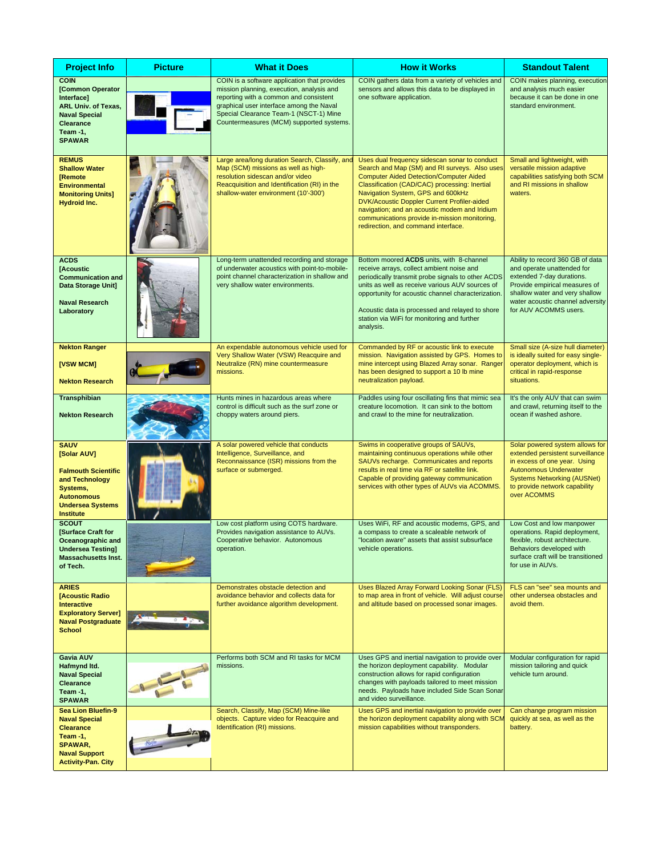| <b>Project Info</b>                                                                                                                                        | <b>Picture</b> | <b>What it Does</b>                                                                                                                                                                                                                                                   | <b>How it Works</b>                                                                                                                                                                                                                                                                                                                                                                                                            | <b>Standout Talent</b>                                                                                                                                                                                                      |
|------------------------------------------------------------------------------------------------------------------------------------------------------------|----------------|-----------------------------------------------------------------------------------------------------------------------------------------------------------------------------------------------------------------------------------------------------------------------|--------------------------------------------------------------------------------------------------------------------------------------------------------------------------------------------------------------------------------------------------------------------------------------------------------------------------------------------------------------------------------------------------------------------------------|-----------------------------------------------------------------------------------------------------------------------------------------------------------------------------------------------------------------------------|
| <b>COIN</b><br>[Common Operator<br>Interface]<br><b>ARL Univ. of Texas,</b><br><b>Naval Special</b><br>Clearance<br>Team -1,<br><b>SPAWAR</b>              |                | COIN is a software application that provides<br>mission planning, execution, analysis and<br>reporting with a common and consistent<br>graphical user interface among the Naval<br>Special Clearance Team-1 (NSCT-1) Mine<br>Countermeasures (MCM) supported systems. | COIN gathers data from a variety of vehicles and<br>sensors and allows this data to be displayed in<br>one software application.                                                                                                                                                                                                                                                                                               | COIN makes planning, execution<br>and analysis much easier<br>because it can be done in one<br>standard environment.                                                                                                        |
| <b>REMUS</b><br><b>Shallow Water</b><br>Remote<br><b>Environmental</b><br><b>Monitoring Units]</b><br><b>Hydroid Inc.</b>                                  |                | Large area/long duration Search, Classify, and<br>Map (SCM) missions as well as high-<br>resolution sidescan and/or video<br>Reacquisition and Identification (RI) in the<br>shallow-water environment (10'-300')                                                     | Uses dual frequency sidescan sonar to conduct<br>Search and Map (SM) and RI surveys. Also uses<br><b>Computer Aided Detection/Computer Aided</b><br>Classification (CAD/CAC) processing: Inertial<br>Navigation System, GPS and 600kHz<br>DVK/Acoustic Doppler Current Profiler-aided<br>navigation; and an acoustic modem and Iridium<br>communications provide in-mission monitoring,<br>redirection, and command interface. | Small and lightweight, with<br>versatile mission adaptive<br>capabilities satisfying both SCM<br>and RI missions in shallow<br>waters.                                                                                      |
| <b>ACDS</b><br>[Acoustic<br><b>Communication and</b><br>Data Storage Unit]<br><b>Naval Research</b><br>Laboratory                                          |                | Long-term unattended recording and storage<br>of underwater acoustics with point-to-mobile-<br>point channel characterization in shallow and<br>very shallow water environments.                                                                                      | Bottom moored ACDS units, with 8-channel<br>receive arrays, collect ambient noise and<br>periodically transmit probe signals to other ACDS<br>units as well as receive various AUV sources of<br>opportunity for acoustic channel characterization.<br>Acoustic data is processed and relayed to shore<br>station via WiFi for monitoring and further<br>analysis.                                                             | Ability to record 360 GB of data<br>and operate unattended for<br>extended 7-day durations.<br>Provide empirical measures of<br>shallow water and very shallow<br>water acoustic channel adversity<br>for AUV ACOMMS users. |
| <b>Nekton Ranger</b><br>[VSW MCM]<br><b>Nekton Research</b>                                                                                                |                | An expendable autonomous vehicle used for<br>Very Shallow Water (VSW) Reacquire and<br>Neutralize (RN) mine countermeasure<br>missions.                                                                                                                               | Commanded by RF or acoustic link to execute<br>mission. Navigation assisted by GPS. Homes to<br>mine intercept using Blazed Array sonar. Ranger<br>has been designed to support a 10 lb mine<br>neutralization payload.                                                                                                                                                                                                        | Small size (A-size hull diameter)<br>is ideally suited for easy single-<br>operator deployment, which is<br>critical in rapid-response<br>situations.                                                                       |
| <b>Transphibian</b><br><b>Nekton Research</b>                                                                                                              |                | Hunts mines in hazardous areas where<br>control is difficult such as the surf zone or<br>choppy waters around piers.                                                                                                                                                  | Paddles using four oscillating fins that mimic sea<br>creature locomotion. It can sink to the bottom<br>and crawl to the mine for neutralization.                                                                                                                                                                                                                                                                              | It's the only AUV that can swim<br>and crawl, returning itself to the<br>ocean if washed ashore.                                                                                                                            |
| <b>SAUV</b><br>[Solar AUV]<br><b>Falmouth Scientific</b><br>and Technology<br>Systems,<br><b>Autonomous</b><br><b>Undersea Systems</b><br><b>Institute</b> |                | A solar powered vehicle that conducts<br>Intelligence, Surveillance, and<br>Reconnaissance (ISR) missions from the<br>surface or submerged.                                                                                                                           | Swims in cooperative groups of SAUVs,<br>maintaining continuous operations while other<br>SAUVs recharge. Communicates and reports<br>results in real time via RF or satellite link.<br>Capable of providing gateway communication<br>services with other types of AUVs via ACOMMS.                                                                                                                                            | Solar powered system allows for<br>extended persistent surveillance<br>in excess of one year. Using<br><b>Autonomous Underwater</b><br><b>Systems Networking (AUSNet)</b><br>to provide network capability<br>over ACOMMS   |
| <b>SCOUT</b><br>[Surface Craft for<br>Oceanographic and<br><b>Undersea Testing]</b><br><b>Massachusetts Inst.</b><br>of Tech.                              |                | Low cost platform using COTS hardware.<br>Provides navigation assistance to AUVs.<br>Cooperative behavior. Autonomous<br>operation.                                                                                                                                   | Uses WiFi, RF and acoustic modems, GPS, and<br>a compass to create a scaleable network of<br>"location aware" assets that assist subsurface<br>vehicle operations.                                                                                                                                                                                                                                                             | Low Cost and low manpower<br>operations. Rapid deployment,<br>flexible, robust architecture.<br>Behaviors developed with<br>surface craft will be transitioned<br>for use in AUVs.                                          |
| <b>ARIES</b><br>[Acoustic Radio<br><b>Interactive</b><br><b>Exploratory Server]</b><br><b>Naval Postgraduate</b><br><b>School</b>                          |                | Demonstrates obstacle detection and<br>avoidance behavior and collects data for<br>further avoidance algorithm development.                                                                                                                                           | Uses Blazed Array Forward Looking Sonar (FLS)<br>to map area in front of vehicle. Will adjust course<br>and altitude based on processed sonar images.                                                                                                                                                                                                                                                                          | FLS can "see" sea mounts and<br>other undersea obstacles and<br>avoid them.                                                                                                                                                 |
| Gavia AUV<br>Hafmynd Itd.<br><b>Naval Special</b><br><b>Clearance</b><br>Team -1,<br><b>SPAWAR</b>                                                         |                | Performs both SCM and RI tasks for MCM<br>missions.                                                                                                                                                                                                                   | Uses GPS and inertial navigation to provide over<br>the horizon deployment capability. Modular<br>construction allows for rapid configuration<br>changes with payloads tailored to meet mission<br>needs. Payloads have included Side Scan Sonar<br>and video surveillance.                                                                                                                                                    | Modular configuration for rapid<br>mission tailoring and quick<br>vehicle turn around.                                                                                                                                      |
| <b>Sea Lion Bluefin-9</b><br><b>Naval Special</b><br><b>Clearance</b><br>Team-1,<br>SPAWAR,<br><b>Naval Support</b><br><b>Activity-Pan. City</b>           |                | Search, Classify, Map (SCM) Mine-like<br>objects. Capture video for Reacquire and<br>Identification (RI) missions.                                                                                                                                                    | Uses GPS and inertial navigation to provide over<br>the horizon deployment capability along with SCM<br>mission capabilities without transponders.                                                                                                                                                                                                                                                                             | Can change program mission<br>quickly at sea, as well as the<br>battery.                                                                                                                                                    |